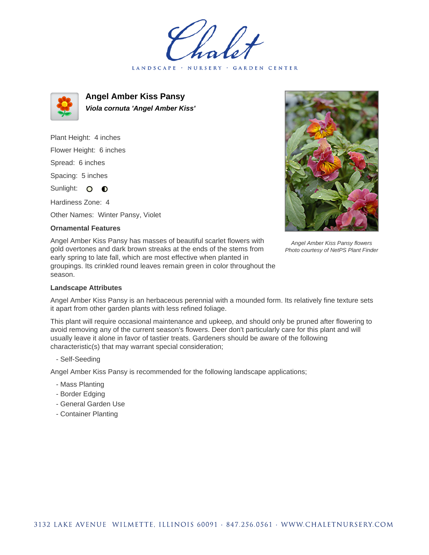LANDSCAPE · NURSERY · GARDEN CENTER



**Angel Amber Kiss Pansy Viola cornuta 'Angel Amber Kiss'**

Plant Height: 4 inches Flower Height: 6 inches Spread: 6 inches Spacing: 5 inches Sunlight: O **O** Hardiness Zone: 4

Other Names: Winter Pansy, Violet

## **Ornamental Features**

Angel Amber Kiss Pansy has masses of beautiful scarlet flowers with gold overtones and dark brown streaks at the ends of the stems from early spring to late fall, which are most effective when planted in groupings. Its crinkled round leaves remain green in color throughout the season.



Angel Amber Kiss Pansy flowers Photo courtesy of NetPS Plant Finder

## **Landscape Attributes**

Angel Amber Kiss Pansy is an herbaceous perennial with a mounded form. Its relatively fine texture sets it apart from other garden plants with less refined foliage.

This plant will require occasional maintenance and upkeep, and should only be pruned after flowering to avoid removing any of the current season's flowers. Deer don't particularly care for this plant and will usually leave it alone in favor of tastier treats. Gardeners should be aware of the following characteristic(s) that may warrant special consideration;

- Self-Seeding

Angel Amber Kiss Pansy is recommended for the following landscape applications;

- Mass Planting
- Border Edging
- General Garden Use
- Container Planting